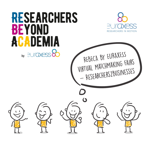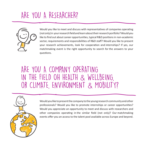### ARE YOU A RESEARCHER?



Would you like to meet and discuss with representatives of companies operating (not only) in your research field and learn about their research portfolio? Would you like to find out about career opportunities, typical R&D positions in non-academic sector, requirements and responsibilities of R&D staff? Would you like to present your research achievements, look for cooperation and internships? If yes, our matchmaking event is the right opportunity to search for the answers to your questions.

#### ARE YOU A COMPANY OPERATING IN THE FIELD OH HEALTH & WELLBEING, OR CLIMATE, ENVIRONMENT & MOBILITY?



Would you like to present the company to the young research community and other professionals? Would you like to promote internships or career opportunities? Would you appreciate an opportunity to meet and discuss with researchers and other companies operating in the similar field (not only)? Our matchmaking events offer you an access to the talent pool available across Europe and beyond.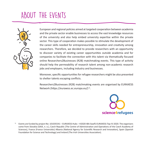#### ABOUT THE EVENTS



European and regional policies aimed at targeted cooperation between academia and the private sector enable businesses to access the vast knowledge resources of the university and also help embed university expertise within the private sector. This type of cooperation makes possible to stimulate the development of the career skills needed for entrepreneurship, innovation and creativity among researchers. Therefore, we decided to provide researchers with an opportunity to discover variety of existing career opportunities outside academia and for companies to facilitate the connection with this talent via thematically focused online Researchers2Businesses (R2B) matchmaking events. This type of activity should help the permeability of research talent among non‑academic research jobs and employers, including industry and businesses.

Moreover, specific opportunities for refugee researchers might be also presented to shelter talents escaping conflicts.

Researchers2Businesses (R2B) matchmaking events are organised by EURAXESS Network [\(https://euraxess.ec.europa.eu/\)](https://euraxess.ec.europa.eu/)<sup>1)</sup>.



<sup>1)</sup> Events are funded by project No: 101035541 – EURAXESS Hubs – H2020-IBA-SwafS-EURAXESS-Top-IV-2020. The organisers come from Slovakia (SAIA, n. o.), Czech Republic (The Centre of Administration and Operations of the Czech Academy of Sciences), France (France Universités) Albania (National Agency for Scientific Research and Innovation), Spain (Spanish Foundation for Science and Technology) and Ireland (The Irish Universities Association).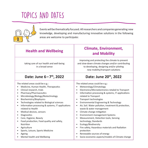## TOPICS AND DATES



Events will be thematically focused. All researchers and companies generating new knowledge, developing and manufacturing innovative solutions in the following areas are welcome to participate:

| <b>Health and Wellbeing</b>                                                                                                                                                                                                                                                                                                                                                                                                                                                                                                                                                                                                                                           | <b>Climate, Environment,</b><br>and Mobility                                                                                                                                                                                                                                                                                                                                                                                                                                                                                                                                                                                                                                                                                            |
|-----------------------------------------------------------------------------------------------------------------------------------------------------------------------------------------------------------------------------------------------------------------------------------------------------------------------------------------------------------------------------------------------------------------------------------------------------------------------------------------------------------------------------------------------------------------------------------------------------------------------------------------------------------------------|-----------------------------------------------------------------------------------------------------------------------------------------------------------------------------------------------------------------------------------------------------------------------------------------------------------------------------------------------------------------------------------------------------------------------------------------------------------------------------------------------------------------------------------------------------------------------------------------------------------------------------------------------------------------------------------------------------------------------------------------|
| taking care of our health and well-being<br>in a broad sense                                                                                                                                                                                                                                                                                                                                                                                                                                                                                                                                                                                                          | improving and protecting the climate to prevent<br>and slow-down climate changes and/or contributing<br>to developing, designing and/or piloting<br>new mobility/transport solutions                                                                                                                                                                                                                                                                                                                                                                                                                                                                                                                                                    |
| Date: June 6-7th, 2022                                                                                                                                                                                                                                                                                                                                                                                                                                                                                                                                                                                                                                                | Date: June 20th, 2022                                                                                                                                                                                                                                                                                                                                                                                                                                                                                                                                                                                                                                                                                                                   |
| The related areas could be e.g.:<br>Medicine, Human Health, Therapeutics<br>Clinical research, trials<br>$\bullet$<br>Pharmacy/Pharmaceutics<br>٠<br>Microbiology/Biology/Biotechnology<br>$\bullet$<br>Biochemistry/Biophysics<br>$\bullet$<br>Technologies related to Biological sciences<br>$\bullet$<br>Information processing & systems, IT applications<br>$\bullet$<br>related to Health<br>Medical devices, sensors<br>٠<br>Diagnostics<br>$\bullet$<br>Care, Hygiene, Beauty<br>Food production, Food quality and safety,<br>$\bullet$<br>Nutrition<br>Agriculture<br>$\bullet$<br>Sports, Leisure, Sports Medicine<br>Ageing<br>Mental health and Wellbeing | The related areas could be e.g.:<br>Meteorology/Climatology<br>Electronics/Microelectronics retaled to Transport<br>$\bullet$<br>Information processing & systems, IT applications<br>$\bullet$<br>related to Transport<br>Transport technologies<br>Environmental Engineering & Technology<br>$\bullet$<br>Air, Soil. Water pollution, treatment & protection,<br>waste & water management<br>Climate change mitigation<br><b>Environment management Systems</b><br>$\bullet$<br>Measurement, Detection tools, Sensing<br>technology, Standards<br>Ecology/Biodiversity<br>Fire safety, Hazardous materials and Radiation<br>$\bullet$<br>protection<br>Renewable sources of energy<br>Socio-economic aspects/models of Climate change |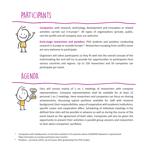## PARTICIPANTS



**Companies:** with research, technology, development and innovation or related activities carried out in Europe<sup>1)</sup>. All types of organisations (private, public, non‑for‑profit) and all company sizes are welcome.

**Early‑stage researchers and postdocs:** PhD students and postdocs conducting research in Europe or outside Europe<sup>2)</sup>. Researchers escaping from conflict zones are very welcome to participate.

Organisers will select participants so they fit well into the overall concept of the matchmaking fair and will try to provide fair opportunities to participants from various countries and regions. Up to 150 researchers and 50 companies can participate per event.

#### AGENDA



Fairs will consist mainly of 1 on 1 meetings of researchers with company representatives. Company representatives shall be available for at least 12 personal 1 on 1 meetings. Here researchers and companies can focus on sharing achievements, discussing typical positions available for staff with research background, their responsibilities, ways of cooperation with academic institutions, specific career and cooperation offers. Scheduling of individual meetings in the defined time slots will be possible in advance as well as during the course of the event based on the agreement of both sides. Companies will also be given the opportunity to present their activities in parallel group sessions and researchers to hear about companies' portfolios.

 $1)$  Companies with headquarters or branches located in 42 countries where EURAXESS Network is represented https://euraxess.ec.europa.eu/choose-your-country

<sup>2)</sup> Postdocs – primarily within up to 8 years after graduating from PhD studies